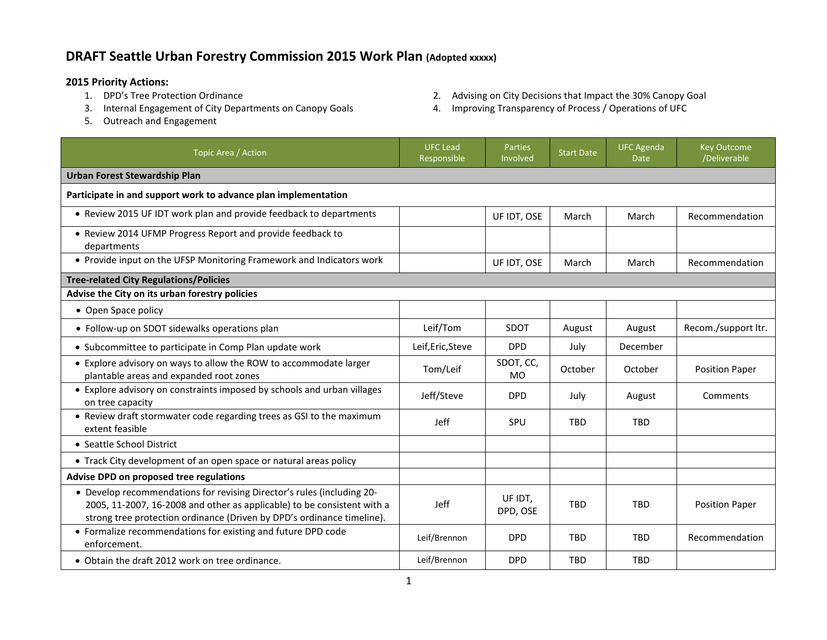## **DRAFT Seattle Urban Forestry Commission 2015 Work Plan (Adopted xxxxx)**

- **2015 Priority Actions:**
	- 3. Internal Engagement of City Departments on Canopy Goals 4. Improving Transparency of Process / Operations of UFC
	- 5. Outreach and Engagement
- 2. Advising on City Decisions that Impact the 30% Canopy Goal
- 

| Topic Area / Action                                                                                                                                                                                                         | <b>UFC Lead</b><br>Responsible | <b>Parties</b><br>Involved | <b>Start Date</b> | <b>UFC Agenda</b><br><b>Date</b> | <b>Key Outcome</b><br>/Deliverable |  |  |  |
|-----------------------------------------------------------------------------------------------------------------------------------------------------------------------------------------------------------------------------|--------------------------------|----------------------------|-------------------|----------------------------------|------------------------------------|--|--|--|
| <b>Urban Forest Stewardship Plan</b>                                                                                                                                                                                        |                                |                            |                   |                                  |                                    |  |  |  |
| Participate in and support work to advance plan implementation                                                                                                                                                              |                                |                            |                   |                                  |                                    |  |  |  |
| • Review 2015 UF IDT work plan and provide feedback to departments                                                                                                                                                          |                                | UF IDT, OSE                | March             | March                            | Recommendation                     |  |  |  |
| • Review 2014 UFMP Progress Report and provide feedback to<br>departments                                                                                                                                                   |                                |                            |                   |                                  |                                    |  |  |  |
| • Provide input on the UFSP Monitoring Framework and Indicators work                                                                                                                                                        |                                | UF IDT, OSE                | March             | March                            | Recommendation                     |  |  |  |
| <b>Tree-related City Regulations/Policies</b>                                                                                                                                                                               |                                |                            |                   |                                  |                                    |  |  |  |
| Advise the City on its urban forestry policies                                                                                                                                                                              |                                |                            |                   |                                  |                                    |  |  |  |
| • Open Space policy                                                                                                                                                                                                         |                                |                            |                   |                                  |                                    |  |  |  |
| • Follow-up on SDOT sidewalks operations plan                                                                                                                                                                               | Leif/Tom                       | SDOT                       | August            | August                           | Recom./support ltr.                |  |  |  |
| • Subcommittee to participate in Comp Plan update work                                                                                                                                                                      | Leif, Eric, Steve              | <b>DPD</b>                 | July              | December                         |                                    |  |  |  |
| • Explore advisory on ways to allow the ROW to accommodate larger<br>plantable areas and expanded root zones                                                                                                                | Tom/Leif                       | SDOT, CC,<br><b>MO</b>     | October           | October                          | <b>Position Paper</b>              |  |  |  |
| • Explore advisory on constraints imposed by schools and urban villages<br>on tree capacity                                                                                                                                 | Jeff/Steve                     | <b>DPD</b>                 | July              | August                           | Comments                           |  |  |  |
| • Review draft stormwater code regarding trees as GSI to the maximum<br>extent feasible                                                                                                                                     | Jeff                           | <b>SPU</b>                 | <b>TBD</b>        | <b>TBD</b>                       |                                    |  |  |  |
| • Seattle School District                                                                                                                                                                                                   |                                |                            |                   |                                  |                                    |  |  |  |
| • Track City development of an open space or natural areas policy                                                                                                                                                           |                                |                            |                   |                                  |                                    |  |  |  |
| Advise DPD on proposed tree regulations                                                                                                                                                                                     |                                |                            |                   |                                  |                                    |  |  |  |
| • Develop recommendations for revising Director's rules (including 20-<br>2005, 11-2007, 16-2008 and other as applicable) to be consistent with a<br>strong tree protection ordinance (Driven by DPD's ordinance timeline). | Jeff                           | UF IDT,<br>DPD, OSE        | <b>TBD</b>        | <b>TBD</b>                       | <b>Position Paper</b>              |  |  |  |
| • Formalize recommendations for existing and future DPD code<br>enforcement.                                                                                                                                                | Leif/Brennon                   | <b>DPD</b>                 | <b>TBD</b>        | <b>TBD</b>                       | Recommendation                     |  |  |  |
| • Obtain the draft 2012 work on tree ordinance.                                                                                                                                                                             | Leif/Brennon                   | <b>DPD</b>                 | <b>TBD</b>        | <b>TBD</b>                       |                                    |  |  |  |